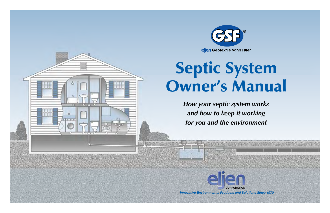



# Septic System Owner's Manual

*How your septic system works and how to keep it working for you and the environment*



*Innovative Environmental Products and Solutions Since 1970*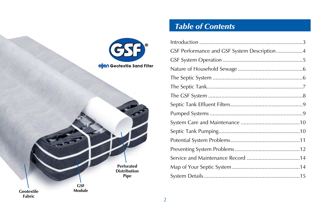

# *Table of Contents*

| GSF Performance and GSF System Description4 |  |  |
|---------------------------------------------|--|--|
|                                             |  |  |
|                                             |  |  |
|                                             |  |  |
|                                             |  |  |
|                                             |  |  |
|                                             |  |  |
|                                             |  |  |
|                                             |  |  |
|                                             |  |  |
|                                             |  |  |
|                                             |  |  |
|                                             |  |  |
|                                             |  |  |
|                                             |  |  |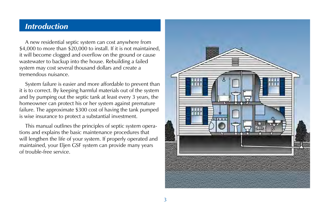#### *Introduction*

A new residential septic system can cost anywhere from \$4,000 to more than \$20,000 to install. If it is not maintained, it will become clogged and overflow on the ground or cause wastewater to backup into the house. Rebuilding a failed system may cost several thousand dollars and create a tremendous nuisance.

System failure is easier and more affordable to prevent than it is to correct. By keeping harmful materials out of the system and by pumping out the septic tank at least every 3 years, the homeowner can protect his or her system against premature failure. The approximate \$300 cost of having the tank pumped is wise insurance to protect a substantial investment.

This manual outlines the principles of septic system operations and explains the basic maintenance procedures that will lengthen the life of your system. If properly operated and maintained, your Eljen GSF system can provide many years of trouble-free service.

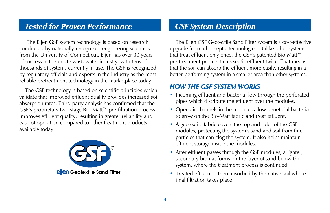#### *Tested for Proven Performance GSF System Description*

 The Eljen GSF system technology is based on research conducted by nationally-recognized engineering scientists from the University of Connecticut. Eljen has over 30 years of success in the onsite wastewater industry, with tens of thousands of systems currently in use. The GSF is recognized by regulatory officials and experts in the industry as the most reliable pretreatment technology in the marketplace today.

The GSF technology is based on scientific principles which validate that improved effluent quality provides increased soil absorption rates. Third-party analysis has confirmed that the GSF's proprietary two-stage Bio-Matt™ pre-filtration process improves effluent quality, resulting in greater reliability and ease of operation compared to other treatment products available today.



The Eljen GSF Geotextile Sand Filter system is a cost-effective upgrade from other septic technologies. Unlike other systems that treat effluent only once, the GSF's patented Bio-Matt™ pre-treatment process treats septic effluent twice. That means that the soil can absorb the effluent more easily, resulting in a better-performing system in a smaller area than other systems.

#### *How the GSF System Works*

- Incoming effluent and bacteria flow through the perforated pipes which distribute the effluent over the modules.
- Open air channels in the modules allow beneficial bacteria to grow on the Bio-Matt fabric and treat effluent.
- A geotextile fabric covers the top and sides of the GSF modules, protecting the system's sand and soil from fine particles that can clog the system. It also helps maintain effluent storage inside the modules.
- After effluent passes through the GSF modules, a lighter, secondary biomat forms on the layer of sand below the system, where the treatment process is continued.
- Treated effluent is then absorbed by the native soil where final filtration takes place.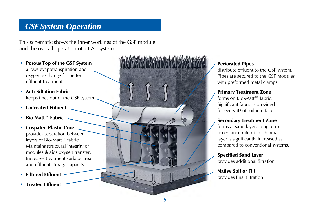# *GSF System Operation*

This schematic shows the inner workings of the GSF module and the overall operation of a GSF system.

- Porous Top of the GSF System allows evapotranspiration and oxygen exchange for better effluent treatment.
- Anti-Siltation Fabric keeps fines out of the GSF system
- Untreated Effluent
- Bio-Matt™ Fabric
- Cuspated Plastic Core provides separation between layers of Bio-Matt™ fabric. Maintains structural integrity of modules & aids oxygen transfer. Increases treatment surface area and effluent storage capacity.
- Filtered Effluent
- Treated Effluent



#### Perforated Pipes

distribute effluent to the GSF system. Pipes are secured to the GSF modules with preformed metal clamps.

#### Primary Treatment Zone

forms on Bio-Matt™ fabric. Significant fabric is provided for every ft<sup>2</sup> of soil interface.

#### Secondary Treatment Zone

forms at sand layer. Long term acceptance rate of this biomat layer is significantly increased as compared to conventional systems.

Specified Sand Layer provides additional filtration

#### Native Soil or Fill provides final filtration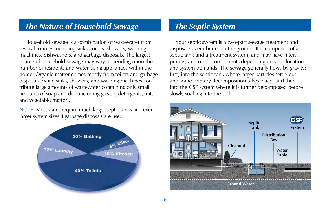### *The Nature of Household Sewage The Septic System*

Household sewage is a combination of wastewater from several sources including sinks, toilets, showers, washing machines, dishwashers, and garbage disposals. The largest source of household sewage may vary depending upon the number of residents and water-using appliances within the home. Organic matter comes mostly from toilets and garbage disposals, while sinks, showers, and washing machines contribute large amounts of wastewater containing only small amounts of soap and dirt (including grease, detergents, lint, and vegetable matter).

NOTE: Most states require much larger septic tanks and even larger system sizes if garbage disposals are used.



Your septic system is a two-part sewage treatment and disposal system buried in the ground. It is composed of a septic tank and a treatment system, and may have filters, pumps, and other components depending on your location and system demands. The sewage generally flows by gravity: first, into the septic tank where larger particles settle out and some primary decomposition takes place, and then into the GSF system where it is further decomposed before slowly soaking into the soil.

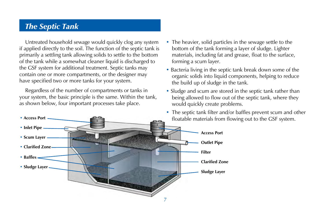### *The Septic Tank*

Untreated household sewage would quickly clog any system if applied directly to the soil. The function of the septic tank is primarily a settling tank allowing solids to settle to the bottom of the tank while a somewhat cleaner liquid is discharged to the GSF system for additional treatment. Septic tanks may contain one or more compartments, or the designer may have specified two or more tanks for your system.

Regardless of the number of compartments or tanks in your system, the basic principle is the same. Within the tank, as shown below, four important processes take place.

- The heavier, solid particles in the sewage settle to the bottom of the tank forming a layer of sludge. Lighter materials, including fat and grease, float to the surface, forming a scum layer.
- Bacteria living in the septic tank break down some of the organic solids into liquid components, helping to reduce the build up of sludge in the tank.
- Sludge and scum are stored in the septic tank rather than being allowed to flow out of the septic tank, where they would quickly create problems.
- The septic tank filter and/or baffles prevent scum and other floatable materials from flowing out to the GSF system.

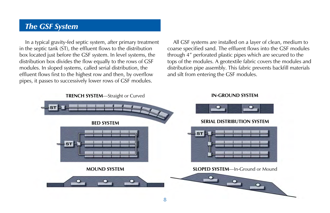#### *The GSF System*

In a typical gravity-fed septic system, after primary treatment in the septic tank (ST), the effluent flows to the distribution box located just before the GSF system. In level systems, the distribution box divides the flow equally to the rows of GSF modules. In sloped systems, called serial distribution, the effluent flows first to the highest row and then, by overflow pipes, it passes to successively lower rows of GSF modules.

All GSF systems are installed on a layer of clean, medium to coarse specified sand. The effluent flows into the GSF modules through 4" perforated plastic pipes which are secured to the tops of the modules. A geotextile fabric covers the modules and distribution pipe assembly. This fabric prevents backfill materials and silt from entering the GSF modules.

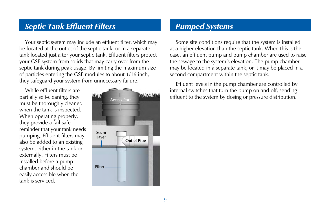#### *Septic Tank Effluent Filters*

Your septic system may include an effluent filter, which may be located at the outlet of the septic tank, or in a separate tank located just after your septic tank. Effluent filters protect your GSF system from solids that may carry over from the septic tank during peak usage. By limiting the maximum size of particles entering the GSF modules to about 1/16 inch, they safeguard your system from unnecessary failure.

While effluent filters are partially self-cleaning, they must be thoroughly cleaned when the tank is inspected. When operating properly, they provide a fail-safe reminder that your tank needs pumping. Effluent filters may also be added to an existing system, either in the tank or externally. Filters must be installed before a pump chamber and should be easily accessible when the tank is serviced.



### *Pumped Systems*

Some site conditions require that the system is installed at a higher elevation than the septic tank. When this is the case, an effluent pump and pump chamber are used to raise the sewage to the system's elevation. The pump chamber may be located in a separate tank, or it may be placed in a second compartment within the septic tank.

Effluent levels in the pump chamber are controlled by internal switches that turn the pump on and off, sending **EXECUTE: ANDINARY MANUS** effluent to the system by dosing or pressure distribution.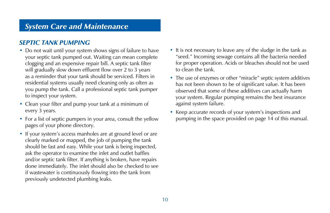## *System Care and Maintenance*

#### *Septic Tank Pumping*

- Do not wait until your system shows signs of failure to have your septic tank pumped out. Waiting can mean complete clogging and an expensive repair bill. A septic tank filter will gradually slow down effluent flow over 2 to 3 years as a reminder that your tank should be serviced. Filters in residential systems usually need cleaning only as often as you pump the tank. Call a professional septic tank pumper to inspect your system.
- Clean your filter and pump your tank at a minimum of every 3 years.
- For a list of septic pumpers in your area, consult the yellow pages of your phone directory.
- If your system's access manholes are at ground level or are clearly marked or mapped, the job of pumping the tank should be fast and easy. While your tank is being inspected, ask the operator to examine the inlet and outlet baffles and/or septic tank filter. If anything is broken, have repairs done immediately. The inlet should also be checked to see if wastewater is continuously flowing into the tank from previously undetected plumbing leaks.
- It is not necessary to leave any of the sludge in the tank as "seed." Incoming sewage contains all the bacteria needed for proper operation. Acids or bleaches should not be used to clean the tank.
- The use of enzymes or other "miracle" septic system additives has not been shown to be of significant value. It has been observed that some of these additives can actually harm your system. Regular pumping remains the best insurance against system failure.
- Keep accurate records of your system's inspections and pumping in the space provided on page 14 of this manual.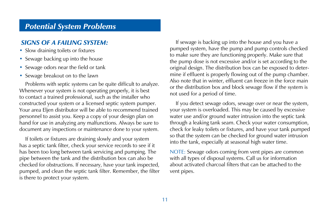### *Potential System Problems*

#### *Signs of a Failing System:*

- Slow draining toilets or fixtures
- Sewage backing up into the house
- Sewage odors near the field or tank
- Sewage breakout on to the lawn

Problems with septic systems can be quite difficult to analyze. Whenever your system is not operating properly, it is best to contact a trained professional, such as the installer who constructed your system or a licensed septic system pumper. Your area Eljen distributor will be able to recommend trained personnel to assist you. Keep a copy of your design plan on hand for use in analyzing any malfunctions. Always be sure to document any inspections or maintenance done to your system.

If toilets or fixtures are draining slowly and your system has a septic tank filter, check your service records to see if it has been too long between tank servicing and pumping. The pipe between the tank and the distribution box can also be checked for obstructions. If necessary, have your tank inspected, pumped, and clean the septic tank filter. Remember, the filter is there to protect your system.

If sewage is backing up into the house and you have a pumped system, have the pump and pump controls checked to make sure they are functioning properly. Make sure that the pump dose is not excessive and/or is set according to the original design. The distribution box can be exposed to determine if effluent is properly flowing out of the pump chamber. Also note that in winter, effluent can freeze in the force main or the distribution box and block sewage flow if the system is not used for a period of time.

If you detect sewage odors, sewage over or near the system, your system is overloaded. This may be caused by excessive water use and/or ground water intrusion into the septic tank through a leaking tank seam. Check your water consumption, check for leaky toilets or fixtures, and have your tank pumped so that the system can be checked for ground water intrusion into the tank, especially at seasonal high water time.

NOTE: Sewage odors coming from vent pipes are common with all types of disposal systems. Call us for information about activated charcoal filters that can be attached to the vent pipes.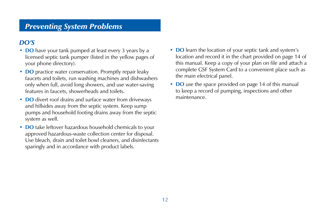# *Preventing System Problems*

#### *DO's*

- **DO** have your tank pumped at least every 3 years by a licensed septic tank pumper (listed in the yellow pages of your phone directory).
- **DO** practice water conservation. Promptly repair leaky faucets and toilets, run washing machines and dishwashers only when full, avoid long showers, and use water-saving features in faucets, showerheads and toilets.
- **DO** divert roof drains and surface water from driveways and hillsides away from the septic system. Keep sump pumps and household footing drains away from the septic system as well.
- **DO** take leftover hazardous household chemicals to your approved hazardous-waste collection center for disposal. Use bleach, drain and toilet bowl cleaners, and disinfectants sparingly and in accordance with product labels.
- **DO** learn the location of your septic tank and system's location and record it in the chart provided on page 14 of this manual. Keep a copy of your plan on file and attach a complete GSF System Card to a convenient place such as the main electrical panel.
- **DO** use the space provided on page 14 of this manual to keep a record of pumping, inspections and other maintenance.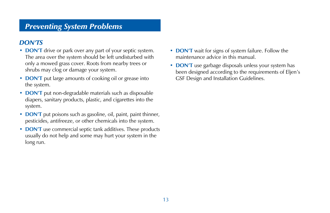# *Preventing System Problems*

#### *DON'Ts*

- **DON'T** drive or park over any part of your septic system. The area over the system should be left undisturbed with only a mowed grass cover. Roots from nearby trees or shrubs may clog or damage your system.
- **DON'T** put large amounts of cooking oil or grease into the system.
- **DON'T** put non-degradable materials such as disposable diapers, sanitary products, plastic, and cigarettes into the system.
- **DON'T** put poisons such as gasoline, oil, paint, paint thinner, pesticides, antifreeze, or other chemicals into the system.
- **DON'T** use commercial septic tank additives. These products usually do not help and some may hurt your system in the long run.
- **DON'T** wait for signs of system failure. Follow the maintenance advice in this manual.
- **DON'T** use garbage disposals unless your system has been designed according to the requirements of Eljen's GSF Design and Installation Guidelines.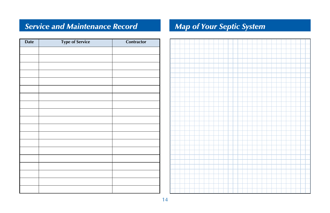# *Service and Maintenance Record Map of Your Septic System*

| <b>Date</b> | <b>Type of Service</b> | Contractor |
|-------------|------------------------|------------|
|             |                        |            |
|             |                        |            |
|             |                        |            |
|             |                        |            |
|             |                        |            |
|             |                        |            |
|             |                        |            |
|             |                        |            |
|             |                        |            |
|             |                        |            |
|             |                        |            |
|             |                        |            |
|             |                        |            |
|             |                        |            |
|             |                        |            |
|             |                        |            |
|             |                        |            |
|             |                        |            |
|             |                        |            |

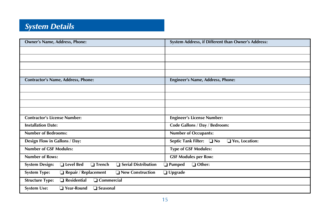# *System Details*

| <b>Owner's Name, Address, Phone:</b>                                         | System Address, if Different than Owner's Address:           |  |
|------------------------------------------------------------------------------|--------------------------------------------------------------|--|
|                                                                              |                                                              |  |
|                                                                              |                                                              |  |
|                                                                              |                                                              |  |
|                                                                              |                                                              |  |
| <b>Contractor's Name, Address, Phone:</b>                                    | Engineer's Name, Address, Phone:                             |  |
|                                                                              |                                                              |  |
|                                                                              |                                                              |  |
|                                                                              |                                                              |  |
|                                                                              |                                                              |  |
| <b>Contractor's License Number:</b>                                          | <b>Engineer's License Number:</b>                            |  |
| <b>Installation Date:</b>                                                    | Code Gallons / Day / Bedroom:                                |  |
| <b>Number of Bedrooms:</b>                                                   | <b>Number of Occupants:</b>                                  |  |
| Design Flow in Gallons / Day:                                                | <b>Septic Tank Filter:</b><br>$\n  Q No$<br>□ Yes, Location: |  |
| <b>Number of GSF Modules:</b>                                                | <b>Type of GSF Modules:</b>                                  |  |
| <b>Number of Rows:</b>                                                       | <b>GSF Modules per Row:</b>                                  |  |
| <b>System Design:</b><br>□ Level Bed<br>Serial Distribution<br>$\Box$ Trench | $\Box$ Other:<br><b>Pumped</b>                               |  |
| $\Box$ Repair / Replacement<br><b>System Type:</b><br>□ New Construction     | $\Box$ Upgrade                                               |  |
| $\Box$ Commercial<br><b>Structure Type:</b><br>$\Box$ Residential            |                                                              |  |
| <b>System Use:</b><br>$\Box$ Year-Round<br>□ Seasonal                        |                                                              |  |